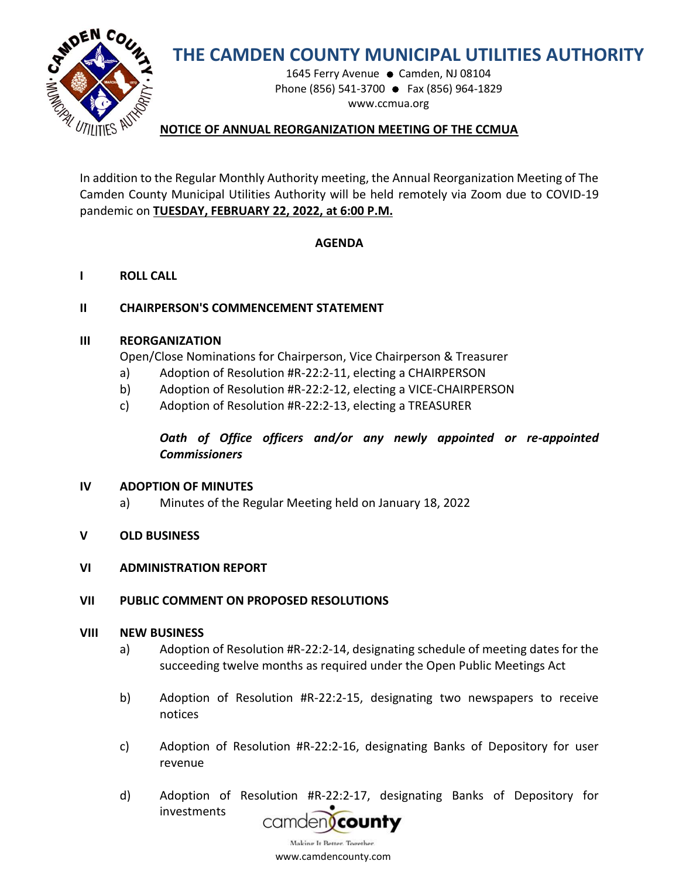

# **THE CAMDEN COUNTY MUNICIPAL UTILITIES AUTHORITY**

1645 Ferry Avenue ● Camden, NJ 08104 Phone (856) 541-3700 ● Fax (856) 964-1829 www.ccmua.org

## **NOTICE OF ANNUAL REORGANIZATION MEETING OF THE CCMUA**

In addition to the Regular Monthly Authority meeting, the Annual Reorganization Meeting of The Camden County Municipal Utilities Authority will be held remotely via Zoom due to COVID-19 pandemic on **TUESDAY, FEBRUARY 22, 2022, at 6:00 P.M.**

## **AGENDA**

**I ROLL CALL**

## **II CHAIRPERSON'S COMMENCEMENT STATEMENT**

#### **III REORGANIZATION**

Open/Close Nominations for Chairperson, Vice Chairperson & Treasurer

- a) Adoption of Resolution #R-22:2-11, electing a CHAIRPERSON
- b) Adoption of Resolution #R-22:2-12, electing a VICE-CHAIRPERSON
- c) Adoption of Resolution #R-22:2-13, electing a TREASURER

# *Oath of Office officers and/or any newly appointed or re-appointed Commissioners*

#### **IV ADOPTION OF MINUTES**

- a) Minutes of the Regular Meeting held on January 18, 2022
- **V OLD BUSINESS**

#### **VI ADMINISTRATION REPORT**

#### **VII PUBLIC COMMENT ON PROPOSED RESOLUTIONS**

#### **VIII NEW BUSINESS**

- a) Adoption of Resolution #R-22:2-14, designating schedule of meeting dates for the succeeding twelve months as required under the Open Public Meetings Act
- b) Adoption of Resolution #R-22:2-15, designating two newspapers to receive notices
- c) Adoption of Resolution #R-22:2-16, designating Banks of Depository for user revenue
- d) Adoption of Res[olution #R-22:2-17, desig](https://www.google.com/url?sa=i&rct=j&q=&esrc=s&source=images&cd=&cad=rja&uact=8&docid=1bFFCDCl5B1FAM&tbnid=uoUDtpPd_pfVeM:&ved=0CAUQjRw&url=https://dimension2.princetonecom.com/otp/StartAction.do?CCMUA&ei=eoZzU720BY3fsASzjYCQAQ&bvm=bv.66699033,d.aWw&psig=AFQjCNGgxuUuq5VqdB3fuLFiWnGIwJDacg&ust=1400166385202246)nating Banks of Depository for investments



www.camdencounty.com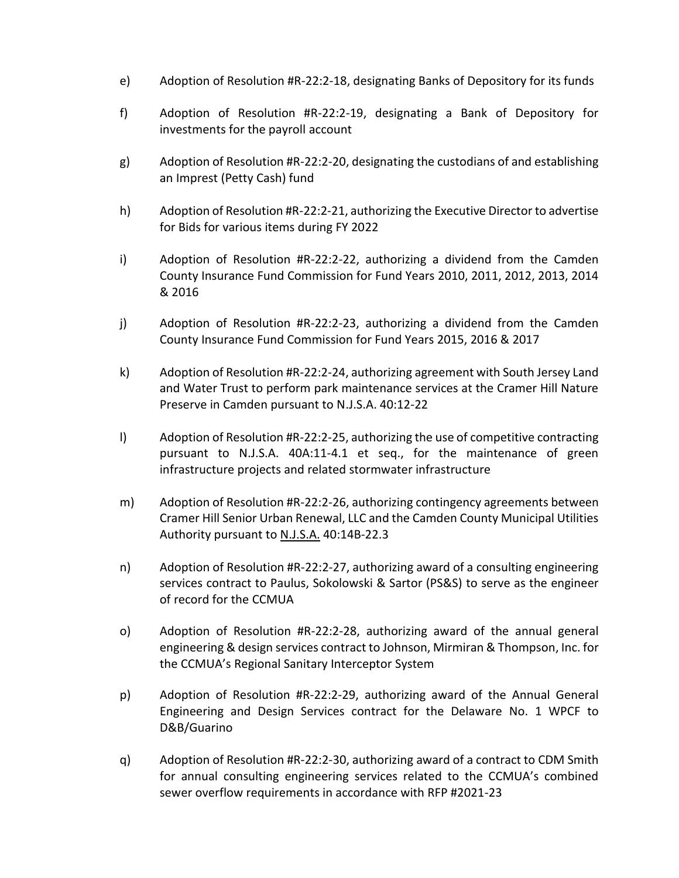- e) Adoption of Resolution #R-22:2-18, designating Banks of Depository for its funds
- f) Adoption of Resolution #R-22:2-19, designating a Bank of Depository for investments for the payroll account
- g) Adoption of Resolution #R-22:2-20, designating the custodians of and establishing an Imprest (Petty Cash) fund
- h) Adoption of Resolution #R-22:2-21, authorizing the Executive Director to advertise for Bids for various items during FY 2022
- i) Adoption of Resolution #R-22:2-22, authorizing a dividend from the Camden County Insurance Fund Commission for Fund Years 2010, 2011, 2012, 2013, 2014 & 2016
- j) Adoption of Resolution #R-22:2-23, authorizing a dividend from the Camden County Insurance Fund Commission for Fund Years 2015, 2016 & 2017
- k) Adoption of Resolution #R-22:2-24, authorizing agreement with South Jersey Land and Water Trust to perform park maintenance services at the Cramer Hill Nature Preserve in Camden pursuant to N.J.S.A. 40:12-22
- l) Adoption of Resolution #R-22:2-25, authorizing the use of competitive contracting pursuant to N.J.S.A. 40A:11-4.1 et seq., for the maintenance of green infrastructure projects and related stormwater infrastructure
- m) Adoption of Resolution #R-22:2-26, authorizing contingency agreements between Cramer Hill Senior Urban Renewal, LLC and the Camden County Municipal Utilities Authority pursuant to N.J.S.A. 40:14B-22.3
- n) Adoption of Resolution #R-22:2-27, authorizing award of a consulting engineering services contract to Paulus, Sokolowski & Sartor (PS&S) to serve as the engineer of record for the CCMUA
- o) Adoption of Resolution #R-22:2-28, authorizing award of the annual general engineering & design services contract to Johnson, Mirmiran & Thompson, Inc. for the CCMUA's Regional Sanitary Interceptor System
- p) Adoption of Resolution #R-22:2-29, authorizing award of the Annual General Engineering and Design Services contract for the Delaware No. 1 WPCF to D&B/Guarino
- q) Adoption of Resolution #R-22:2-30, authorizing award of a contract to CDM Smith for annual consulting engineering services related to the CCMUA's combined sewer overflow requirements in accordance with RFP #2021-23